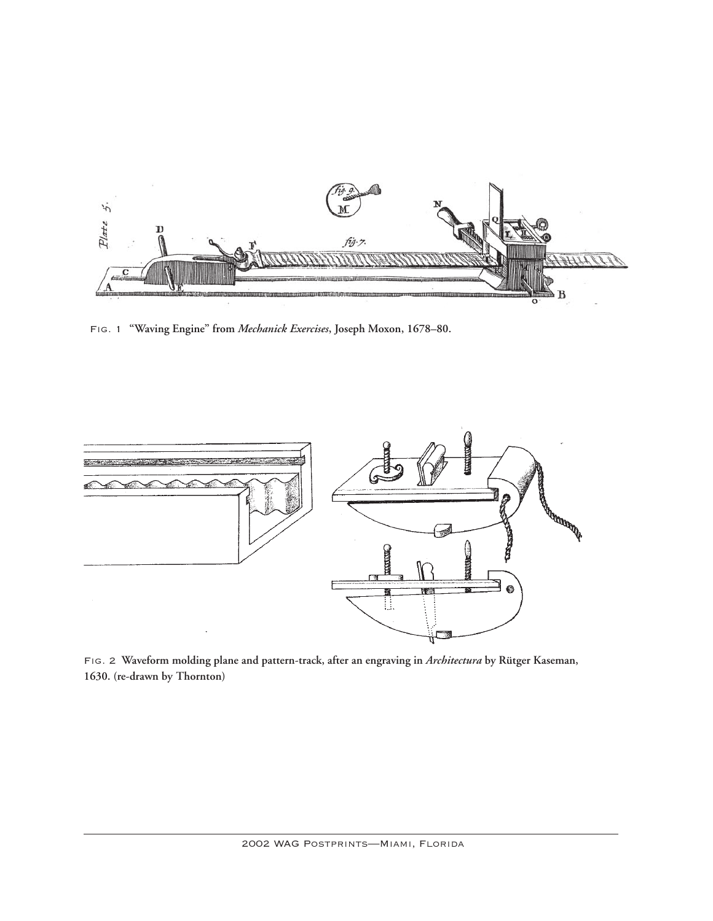

Fig. 1 **"Waving Engine" from** *Mechanick Exercises***, Joseph Moxon, 1678–80.**



Fig. 2 **Waveform molding plane and pattern-track, after an engraving in** *Architectura* **by Rütger Kaseman, 1630. (re-drawn by Thornton)**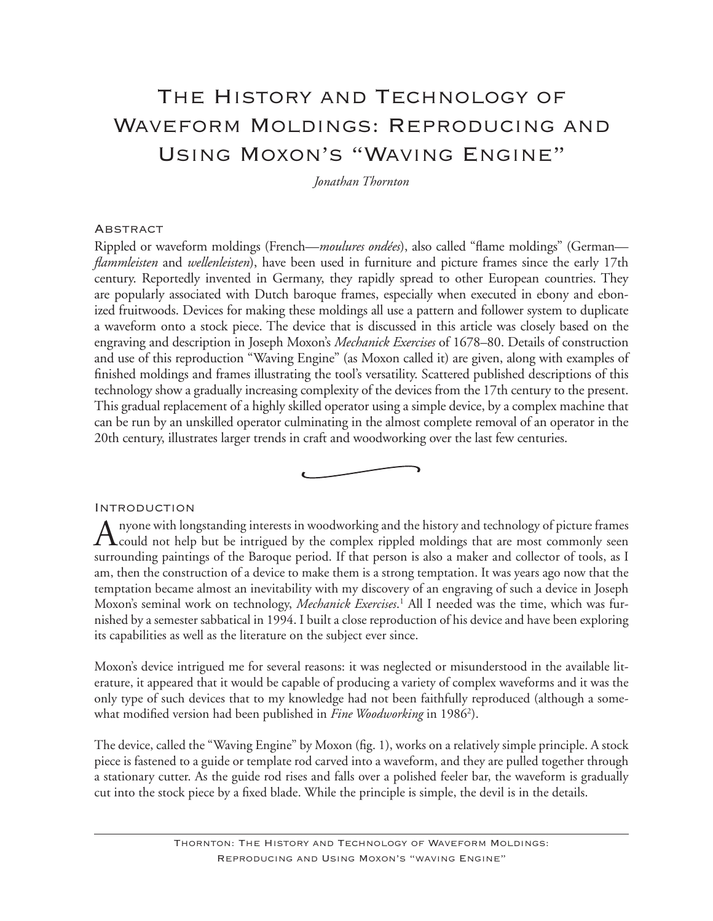# The History and Technology of Waveform Moldings: Reproducing and Using Moxon's "Waving Engine"

*Jonathan Thornton*

#### **ABSTRACT**

Rippled or waveform moldings (French—*moulures ondées*), also called "flame moldings" (German *flammleisten* and *wellenleisten*), have been used in furniture and picture frames since the early 17th century. Reportedly invented in Germany, they rapidly spread to other European countries. They are popularly associated with Dutch baroque frames, especially when executed in ebony and ebonized fruitwoods. Devices for making these moldings all use a pattern and follower system to duplicate a waveform onto a stock piece. The device that is discussed in this article was closely based on the engraving and description in Joseph Moxon's *Mechanick Exercises* of 1678–80. Details of construction and use of this reproduction "Waving Engine" (as Moxon called it) are given, along with examples of finished moldings and frames illustrating the tool's versatility. Scattered published descriptions of this technology show a gradually increasing complexity of the devices from the 17th century to the present. This gradual replacement of a highly skilled operator using a simple device, by a complex machine that can be run by an unskilled operator culminating in the almost complete removal of an operator in the 20th century, illustrates larger trends in craft and woodworking over the last few centuries.

#### Introduction

A nyone with longstanding interests in woodworking and the history and technology of picture frames<br>could not help but be intrigued by the complex rippled moldings that are most commonly seen surrounding paintings of the Baroque period. If that person is also a maker and collector of tools, as I am, then the construction of a device to make them is a strong temptation. It was years ago now that the temptation became almost an inevitability with my discovery of an engraving of such a device in Joseph Moxon's seminal work on technology, *Mechanick Exercises*. 1 All I needed was the time, which was furnished by a semester sabbatical in 1994. I built a close reproduction of his device and have been exploring its capabilities as well as the literature on the subject ever since.

Moxon's device intrigued me for several reasons: it was neglected or misunderstood in the available literature, it appeared that it would be capable of producing a variety of complex waveforms and it was the only type of such devices that to my knowledge had not been faithfully reproduced (although a somewhat modified version had been published in *Fine Woodworking* in 1986<sup>2</sup>).

The device, called the "Waving Engine" by Moxon (fig. 1), works on a relatively simple principle. A stock piece is fastened to a guide or template rod carved into a waveform, and they are pulled together through a stationary cutter. As the guide rod rises and falls over a polished feeler bar, the waveform is gradually cut into the stock piece by a fixed blade. While the principle is simple, the devil is in the details.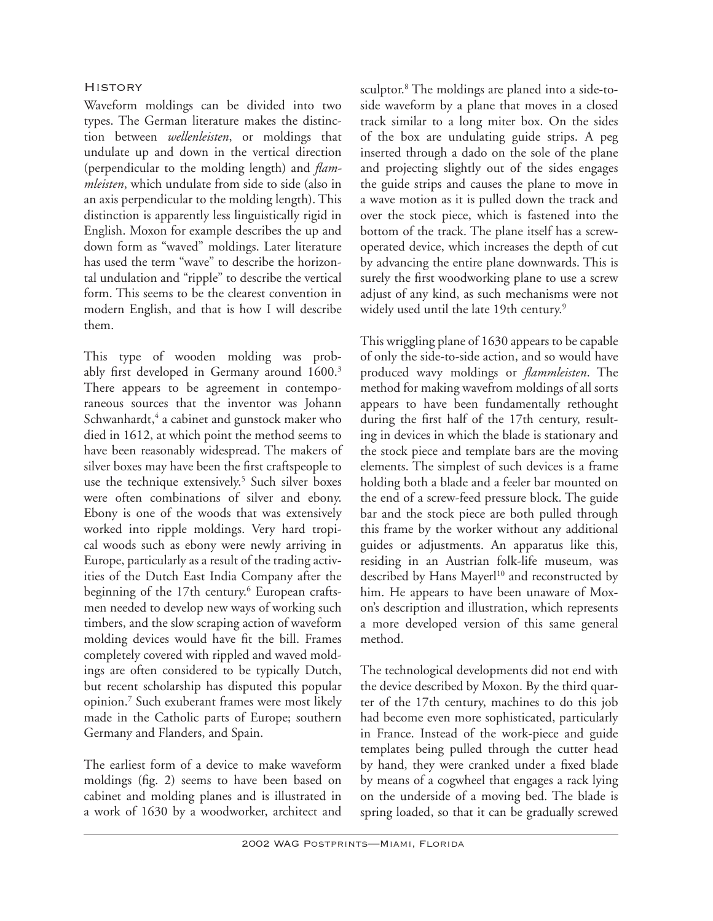# **HISTORY**

Waveform moldings can be divided into two types. The German literature makes the distinction between *wellenleisten*, or moldings that undulate up and down in the vertical direction (perpendicular to the molding length) and *flammleisten*, which undulate from side to side (also in an axis perpendicular to the molding length). This distinction is apparently less linguistically rigid in English. Moxon for example describes the up and down form as "waved" moldings. Later literature has used the term "wave" to describe the horizontal undulation and "ripple" to describe the vertical form. This seems to be the clearest convention in modern English, and that is how I will describe them.

This type of wooden molding was probably first developed in Germany around 1600.<sup>3</sup> There appears to be agreement in contemporaneous sources that the inventor was Johann Schwanhardt,<sup>4</sup> a cabinet and gunstock maker who died in 1612, at which point the method seems to have been reasonably widespread. The makers of silver boxes may have been the first craftspeople to use the technique extensively.<sup>5</sup> Such silver boxes were often combinations of silver and ebony. Ebony is one of the woods that was extensively worked into ripple moldings. Very hard tropical woods such as ebony were newly arriving in Europe, particularly as a result of the trading activities of the Dutch East India Company after the beginning of the 17th century.<sup>6</sup> European craftsmen needed to develop new ways of working such timbers, and the slow scraping action of waveform molding devices would have fit the bill. Frames completely covered with rippled and waved moldings are often considered to be typically Dutch, but recent scholarship has disputed this popular opinion.7 Such exuberant frames were most likely made in the Catholic parts of Europe; southern Germany and Flanders, and Spain.

The earliest form of a device to make waveform moldings (fig. 2) seems to have been based on cabinet and molding planes and is illustrated in a work of 1630 by a woodworker, architect and

sculptor.<sup>8</sup> The moldings are planed into a side-toside waveform by a plane that moves in a closed track similar to a long miter box. On the sides of the box are undulating guide strips. A peg inserted through a dado on the sole of the plane and projecting slightly out of the sides engages the guide strips and causes the plane to move in a wave motion as it is pulled down the track and over the stock piece, which is fastened into the bottom of the track. The plane itself has a screwoperated device, which increases the depth of cut by advancing the entire plane downwards. This is surely the first woodworking plane to use a screw adjust of any kind, as such mechanisms were not widely used until the late 19th century.<sup>9</sup>

This wriggling plane of 1630 appears to be capable of only the side-to-side action, and so would have produced wavy moldings or *flammleisten*. The method for making wavefrom moldings of all sorts appears to have been fundamentally rethought during the first half of the 17th century, resulting in devices in which the blade is stationary and the stock piece and template bars are the moving elements. The simplest of such devices is a frame holding both a blade and a feeler bar mounted on the end of a screw-feed pressure block. The guide bar and the stock piece are both pulled through this frame by the worker without any additional guides or adjustments. An apparatus like this, residing in an Austrian folk-life museum, was described by Hans Mayerl<sup>10</sup> and reconstructed by him. He appears to have been unaware of Moxon's description and illustration, which represents a more developed version of this same general method.

The technological developments did not end with the device described by Moxon. By the third quarter of the 17th century, machines to do this job had become even more sophisticated, particularly in France. Instead of the work-piece and guide templates being pulled through the cutter head by hand, they were cranked under a fixed blade by means of a cogwheel that engages a rack lying on the underside of a moving bed. The blade is spring loaded, so that it can be gradually screwed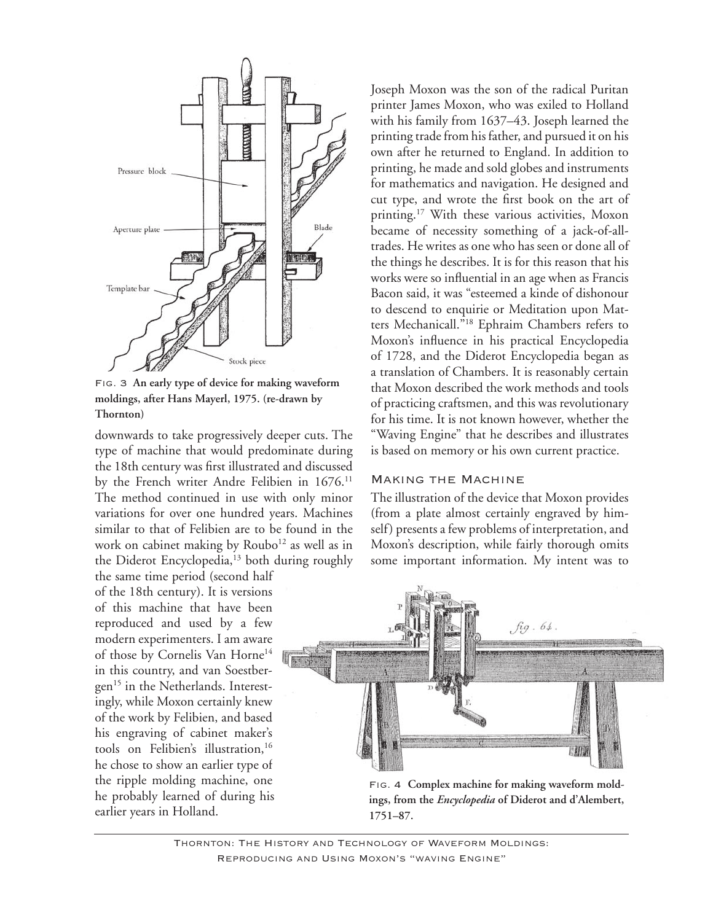

Fig. 3 **An early type of device for making waveform moldings, after Hans Mayerl, 1975. (re-drawn by Thornton)**

downwards to take progressively deeper cuts. The type of machine that would predominate during the 18th century was first illustrated and discussed by the French writer Andre Felibien in 1676.<sup>11</sup> The method continued in use with only minor variations for over one hundred years. Machines similar to that of Felibien are to be found in the work on cabinet making by Roubo<sup>12</sup> as well as in the Diderot Encyclopedia, $13$  both during roughly

the same time period (second half of the 18th century). It is versions of this machine that have been reproduced and used by a few modern experimenters. I am aware of those by Cornelis Van Horne<sup>14</sup> in this country, and van Soestbergen<sup>15</sup> in the Netherlands. Interestingly, while Moxon certainly knew of the work by Felibien, and based his engraving of cabinet maker's tools on Felibien's illustration,<sup>16</sup> he chose to show an earlier type of the ripple molding machine, one he probably learned of during his earlier years in Holland.

Joseph Moxon was the son of the radical Puritan printer James Moxon, who was exiled to Holland with his family from 1637–43. Joseph learned the printing trade from his father, and pursued it on his own after he returned to England. In addition to printing, he made and sold globes and instruments for mathematics and navigation. He designed and cut type, and wrote the first book on the art of printing.<sup>17</sup> With these various activities, Moxon became of necessity something of a jack-of-alltrades. He writes as one who has seen or done all of the things he describes. It is for this reason that his works were so influential in an age when as Francis Bacon said, it was "esteemed a kinde of dishonour to descend to enquirie or Meditation upon Matters Mechanicall."18 Ephraim Chambers refers to Moxon's influence in his practical Encyclopedia of 1728, and the Diderot Encyclopedia began as a translation of Chambers. It is reasonably certain that Moxon described the work methods and tools of practicing craftsmen, and this was revolutionary for his time. It is not known however, whether the "Waving Engine" that he describes and illustrates is based on memory or his own current practice.

#### Making the Machine

The illustration of the device that Moxon provides (from a plate almost certainly engraved by himself) presents a few problems of interpretation, and Moxon's description, while fairly thorough omits some important information. My intent was to



Fig. 4 **Complex machine for making waveform moldings, from the** *Encyclopedia* **of Diderot and d'Alembert, 1751–87.**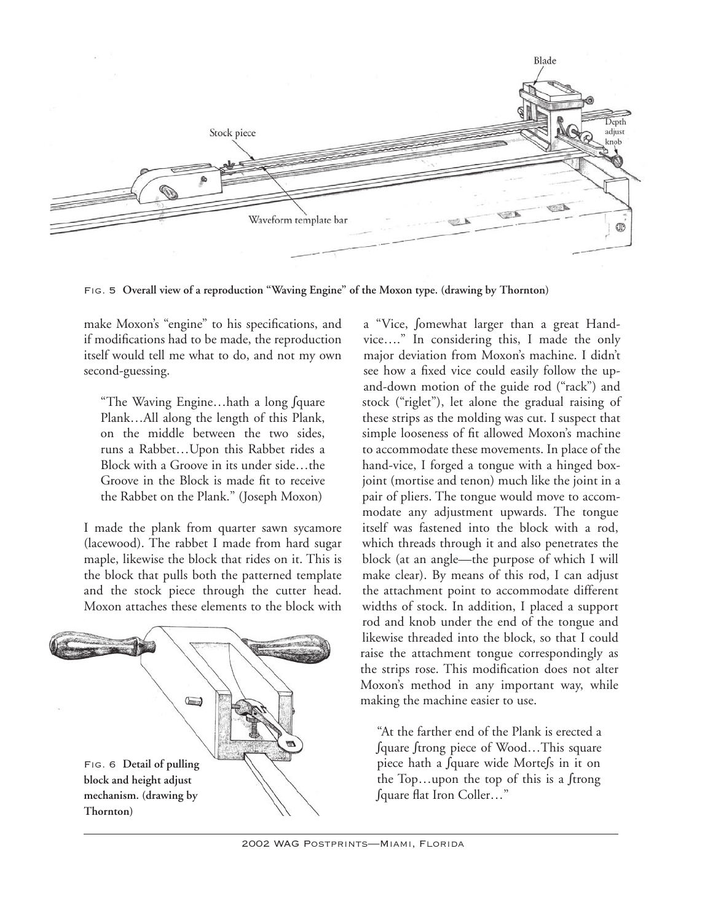

Fig. 5 **Overall view of a reproduction "Waving Engine" of the Moxon type. (drawing by Thornton)**

make Moxon's "engine" to his specifications, and if modifications had to be made, the reproduction itself would tell me what to do, and not my own second-guessing.

"The Waving Engine…hath a long ∫quare Plank…All along the length of this Plank, on the middle between the two sides, runs a Rabbet…Upon this Rabbet rides a Block with a Groove in its under side…the Groove in the Block is made fit to receive the Rabbet on the Plank." (Joseph Moxon)

I made the plank from quarter sawn sycamore (lacewood). The rabbet I made from hard sugar maple, likewise the block that rides on it. This is the block that pulls both the patterned template and the stock piece through the cutter head. Moxon attaches these elements to the block with



a "Vice, ∫omewhat larger than a great Handvice…." In considering this, I made the only major deviation from Moxon's machine. I didn't see how a fixed vice could easily follow the upand-down motion of the guide rod ("rack") and stock ("riglet"), let alone the gradual raising of these strips as the molding was cut. I suspect that simple looseness of fit allowed Moxon's machine to accommodate these movements. In place of the hand-vice, I forged a tongue with a hinged boxjoint (mortise and tenon) much like the joint in a pair of pliers. The tongue would move to accommodate any adjustment upwards. The tongue itself was fastened into the block with a rod, which threads through it and also penetrates the block (at an angle—the purpose of which I will make clear). By means of this rod, I can adjust the attachment point to accommodate different widths of stock. In addition, I placed a support rod and knob under the end of the tongue and likewise threaded into the block, so that I could raise the attachment tongue correspondingly as the strips rose. This modification does not alter Moxon's method in any important way, while making the machine easier to use.

"At the farther end of the Plank is erected a ∫quare ∫trong piece of Wood…This square piece hath a ∫quare wide Morte∫s in it on the Top…upon the top of this is a ∫trong ∫quare flat Iron Coller…"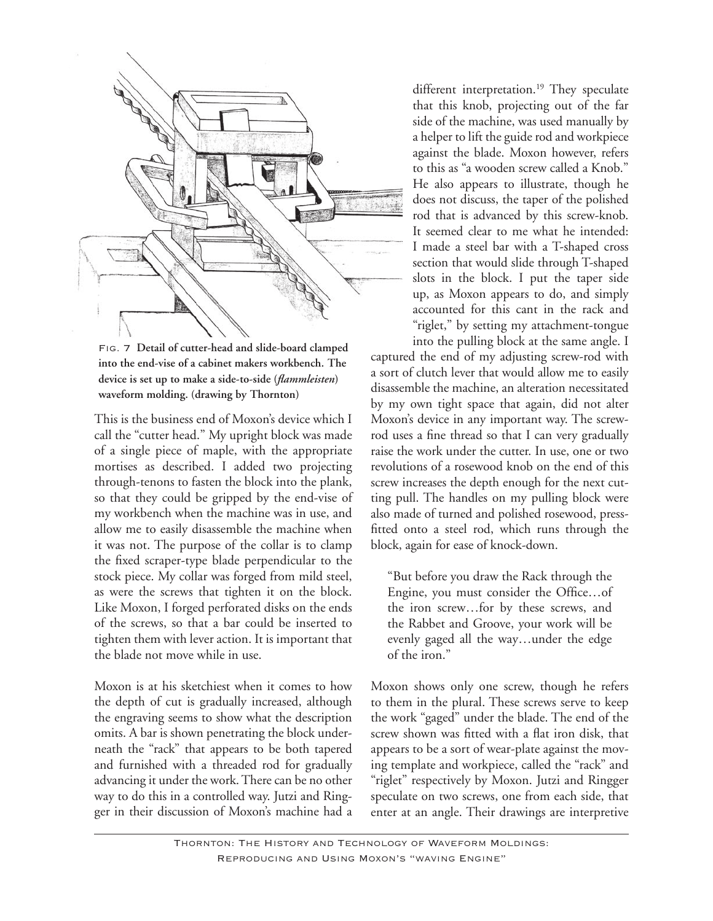

Fig. 7 **Detail of cutter-head and slide-board clamped into the end-vise of a cabinet makers workbench. The device is set up to make a side-to-side (***flammleisten***) waveform molding. (drawing by Thornton)**

This is the business end of Moxon's device which I call the "cutter head." My upright block was made of a single piece of maple, with the appropriate mortises as described. I added two projecting through-tenons to fasten the block into the plank, so that they could be gripped by the end-vise of my workbench when the machine was in use, and allow me to easily disassemble the machine when it was not. The purpose of the collar is to clamp the fixed scraper-type blade perpendicular to the stock piece. My collar was forged from mild steel, as were the screws that tighten it on the block. Like Moxon, I forged perforated disks on the ends of the screws, so that a bar could be inserted to tighten them with lever action. It is important that the blade not move while in use.

Moxon is at his sketchiest when it comes to how the depth of cut is gradually increased, although the engraving seems to show what the description omits. A bar is shown penetrating the block underneath the "rack" that appears to be both tapered and furnished with a threaded rod for gradually advancing it under the work. There can be no other way to do this in a controlled way. Jutzi and Ringger in their discussion of Moxon's machine had a different interpretation.<sup>19</sup> They speculate that this knob, projecting out of the far side of the machine, was used manually by a helper to lift the guide rod and workpiece against the blade. Moxon however, refers to this as "a wooden screw called a Knob." He also appears to illustrate, though he does not discuss, the taper of the polished rod that is advanced by this screw-knob. It seemed clear to me what he intended: I made a steel bar with a T-shaped cross section that would slide through T-shaped slots in the block. I put the taper side up, as Moxon appears to do, and simply accounted for this cant in the rack and "riglet," by setting my attachment-tongue

into the pulling block at the same angle. I captured the end of my adjusting screw-rod with a sort of clutch lever that would allow me to easily disassemble the machine, an alteration necessitated by my own tight space that again, did not alter Moxon's device in any important way. The screwrod uses a fine thread so that I can very gradually raise the work under the cutter. In use, one or two revolutions of a rosewood knob on the end of this screw increases the depth enough for the next cutting pull. The handles on my pulling block were also made of turned and polished rosewood, pressfitted onto a steel rod, which runs through the block, again for ease of knock-down.

"But before you draw the Rack through the Engine, you must consider the Office…of the iron screw…for by these screws, and the Rabbet and Groove, your work will be evenly gaged all the way…under the edge of the iron."

Moxon shows only one screw, though he refers to them in the plural. These screws serve to keep the work "gaged" under the blade. The end of the screw shown was fitted with a flat iron disk, that appears to be a sort of wear-plate against the moving template and workpiece, called the "rack" and "riglet" respectively by Moxon. Jutzi and Ringger speculate on two screws, one from each side, that enter at an angle. Their drawings are interpretive

Thornton: The History and Technology of Waveform Moldings: Reproducing and Using Moxon's "waving Engine"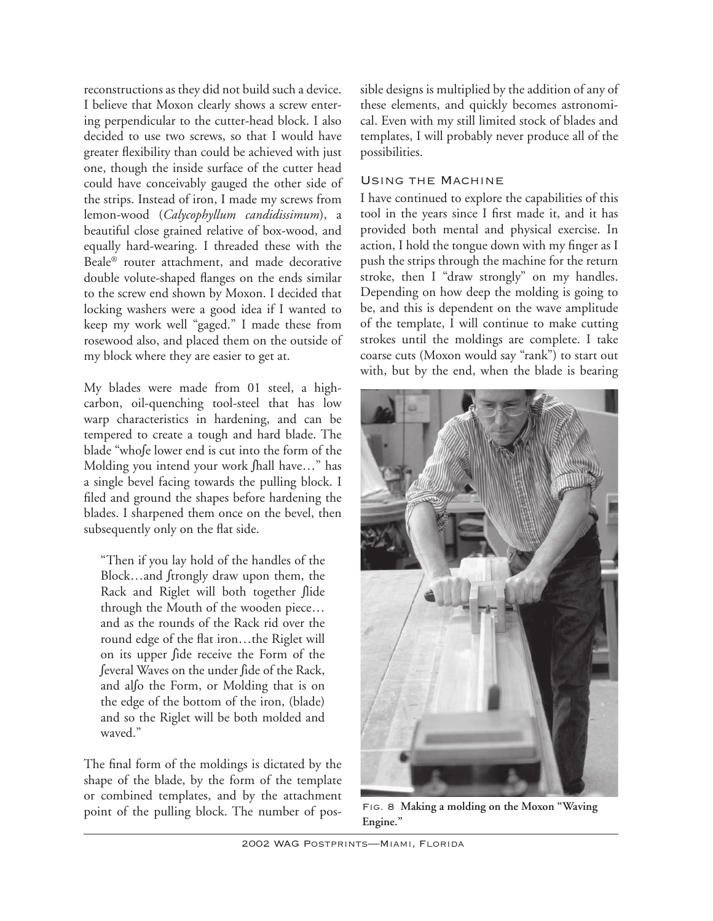reconstructions as they did not build such a device. I believe that Moxon clearly shows a screw entering perpendicular to the cutter-head block. I also decided to use two screws, so that I would have greater flexibility than could be achieved with just one, though the inside surface of the cutter head could have conceivably gauged the other side of the strips. Instead of iron, I made my screws from lemon-wood (*Calycophyllum candidissimum*), a beautiful close grained relative of box-wood, and equally hard-wearing. I threaded these with the Beale® router attachment, and made decorative double volute-shaped flanges on the ends similar to the screw end shown by Moxon. I decided that locking washers were a good idea if I wanted to keep my work well "gaged." I made these from rosewood also, and placed them on the outside of my block where they are easier to get at.

My blades were made from 01 steel, a highcarbon, oil-quenching tool-steel that has low warp characteristics in hardening, and can be tempered to create a tough and hard blade. The blade "who∫e lower end is cut into the form of the Molding you intend your work ∫hall have…" has a single bevel facing towards the pulling block. I filed and ground the shapes before hardening the blades. I sharpened them once on the bevel, then subsequently only on the flat side.

"Then if you lay hold of the handles of the Block…and ∫trongly draw upon them, the Rack and Riglet will both together ∫lide through the Mouth of the wooden piece… and as the rounds of the Rack rid over the round edge of the flat iron…the Riglet will on its upper ∫ide receive the Form of the ∫everal Waves on the under ∫ide of the Rack, and al∫o the Form, or Molding that is on the edge of the bottom of the iron, (blade) and so the Riglet will be both molded and waved."

The final form of the moldings is dictated by the shape of the blade, by the form of the template or combined templates, and by the attachment point of the pulling block. The number of possible designs is multiplied by the addition of any of these elements, and quickly becomes astronomical. Even with my still limited stock of blades and templates, I will probably never produce all of the possibilities.

## Using the Machine

I have continued to explore the capabilities of this tool in the years since I first made it, and it has provided both mental and physical exercise. In action, I hold the tongue down with my finger as I push the strips through the machine for the return stroke, then I "draw strongly" on my handles. Depending on how deep the molding is going to be, and this is dependent on the wave amplitude of the template, I will continue to make cutting strokes until the moldings are complete. I take coarse cuts (Moxon would say "rank") to start out with, but by the end, when the blade is bearing



Fig. 8 **Making a molding on the Moxon "Waving Engine."**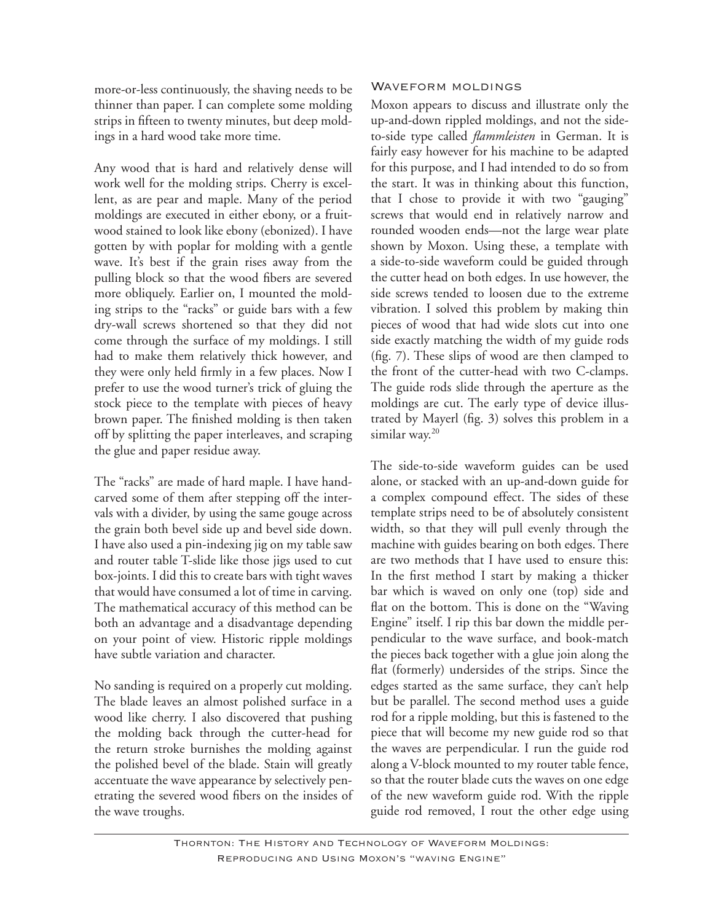more-or-less continuously, the shaving needs to be thinner than paper. I can complete some molding strips in fifteen to twenty minutes, but deep moldings in a hard wood take more time.

Any wood that is hard and relatively dense will work well for the molding strips. Cherry is excellent, as are pear and maple. Many of the period moldings are executed in either ebony, or a fruitwood stained to look like ebony (ebonized). I have gotten by with poplar for molding with a gentle wave. It's best if the grain rises away from the pulling block so that the wood fibers are severed more obliquely. Earlier on, I mounted the molding strips to the "racks" or guide bars with a few dry-wall screws shortened so that they did not come through the surface of my moldings. I still had to make them relatively thick however, and they were only held firmly in a few places. Now I prefer to use the wood turner's trick of gluing the stock piece to the template with pieces of heavy brown paper. The finished molding is then taken off by splitting the paper interleaves, and scraping the glue and paper residue away.

The "racks" are made of hard maple. I have handcarved some of them after stepping off the intervals with a divider, by using the same gouge across the grain both bevel side up and bevel side down. I have also used a pin-indexing jig on my table saw and router table T-slide like those jigs used to cut box-joints. I did this to create bars with tight waves that would have consumed a lot of time in carving. The mathematical accuracy of this method can be both an advantage and a disadvantage depending on your point of view. Historic ripple moldings have subtle variation and character.

No sanding is required on a properly cut molding. The blade leaves an almost polished surface in a wood like cherry. I also discovered that pushing the molding back through the cutter-head for the return stroke burnishes the molding against the polished bevel of the blade. Stain will greatly accentuate the wave appearance by selectively penetrating the severed wood fibers on the insides of the wave troughs.

### WAVEFORM MOLDINGS

Moxon appears to discuss and illustrate only the up-and-down rippled moldings, and not the sideto-side type called *flammleisten* in German. It is fairly easy however for his machine to be adapted for this purpose, and I had intended to do so from the start. It was in thinking about this function, that I chose to provide it with two "gauging" screws that would end in relatively narrow and rounded wooden ends—not the large wear plate shown by Moxon. Using these, a template with a side-to-side waveform could be guided through the cutter head on both edges. In use however, the side screws tended to loosen due to the extreme vibration. I solved this problem by making thin pieces of wood that had wide slots cut into one side exactly matching the width of my guide rods (fig. 7). These slips of wood are then clamped to the front of the cutter-head with two C-clamps. The guide rods slide through the aperture as the moldings are cut. The early type of device illustrated by Mayerl (fig. 3) solves this problem in a similar way.<sup>20</sup>

The side-to-side waveform guides can be used alone, or stacked with an up-and-down guide for a complex compound effect. The sides of these template strips need to be of absolutely consistent width, so that they will pull evenly through the machine with guides bearing on both edges. There are two methods that I have used to ensure this: In the first method I start by making a thicker bar which is waved on only one (top) side and flat on the bottom. This is done on the "Waving Engine" itself. I rip this bar down the middle perpendicular to the wave surface, and book-match the pieces back together with a glue join along the flat (formerly) undersides of the strips. Since the edges started as the same surface, they can't help but be parallel. The second method uses a guide rod for a ripple molding, but this is fastened to the piece that will become my new guide rod so that the waves are perpendicular. I run the guide rod along a V-block mounted to my router table fence, so that the router blade cuts the waves on one edge of the new waveform guide rod. With the ripple guide rod removed, I rout the other edge using

Thornton: The History and Technology of Waveform Moldings: Reproducing and Using Moxon's "waving Engine"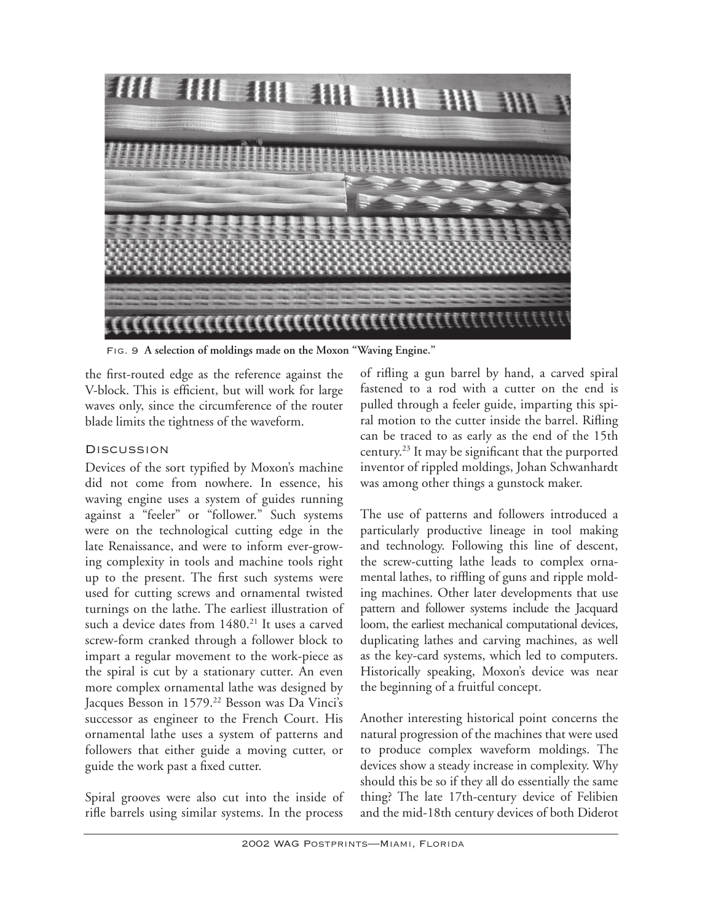

Fig. 9 **A selection of moldings made on the Moxon "Waving Engine."** 

the first-routed edge as the reference against the V-block. This is efficient, but will work for large waves only, since the circumference of the router blade limits the tightness of the waveform.

# **DISCUSSION**

Devices of the sort typified by Moxon's machine did not come from nowhere. In essence, his waving engine uses a system of guides running against a "feeler" or "follower." Such systems were on the technological cutting edge in the late Renaissance, and were to inform ever-growing complexity in tools and machine tools right up to the present. The first such systems were used for cutting screws and ornamental twisted turnings on the lathe. The earliest illustration of such a device dates from 1480.<sup>21</sup> It uses a carved screw-form cranked through a follower block to impart a regular movement to the work-piece as the spiral is cut by a stationary cutter. An even more complex ornamental lathe was designed by Jacques Besson in 1579.<sup>22</sup> Besson was Da Vinci's successor as engineer to the French Court. His ornamental lathe uses a system of patterns and followers that either guide a moving cutter, or guide the work past a fixed cutter.

Spiral grooves were also cut into the inside of rifle barrels using similar systems. In the process

of rifling a gun barrel by hand, a carved spiral fastened to a rod with a cutter on the end is pulled through a feeler guide, imparting this spiral motion to the cutter inside the barrel. Rifling can be traced to as early as the end of the 15th century.23 It may be significant that the purported inventor of rippled moldings, Johan Schwanhardt was among other things a gunstock maker.

The use of patterns and followers introduced a particularly productive lineage in tool making and technology. Following this line of descent, the screw-cutting lathe leads to complex ornamental lathes, to riffling of guns and ripple molding machines. Other later developments that use pattern and follower systems include the Jacquard loom, the earliest mechanical computational devices, duplicating lathes and carving machines, as well as the key-card systems, which led to computers. Historically speaking, Moxon's device was near the beginning of a fruitful concept.

Another interesting historical point concerns the natural progression of the machines that were used to produce complex waveform moldings. The devices show a steady increase in complexity. Why should this be so if they all do essentially the same thing? The late 17th-century device of Felibien and the mid-18th century devices of both Diderot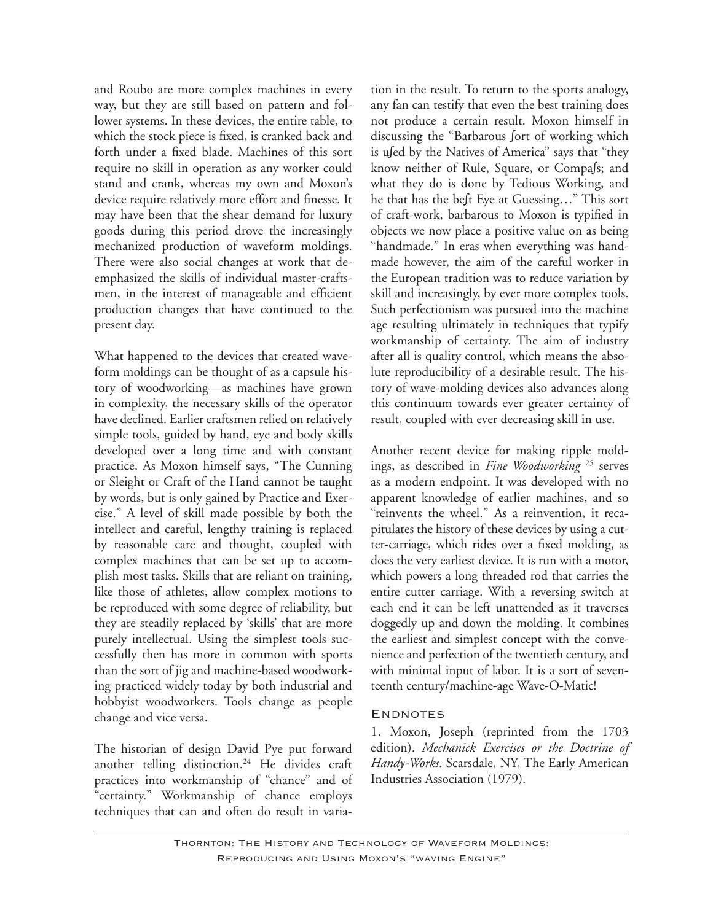and Roubo are more complex machines in every way, but they are still based on pattern and follower systems. In these devices, the entire table, to which the stock piece is fixed, is cranked back and forth under a fixed blade. Machines of this sort require no skill in operation as any worker could stand and crank, whereas my own and Moxon's device require relatively more effort and finesse. It may have been that the shear demand for luxury goods during this period drove the increasingly mechanized production of waveform moldings. There were also social changes at work that deemphasized the skills of individual master-craftsmen, in the interest of manageable and efficient production changes that have continued to the present day.

What happened to the devices that created waveform moldings can be thought of as a capsule history of woodworking—as machines have grown in complexity, the necessary skills of the operator have declined. Earlier craftsmen relied on relatively simple tools, guided by hand, eye and body skills developed over a long time and with constant practice. As Moxon himself says, "The Cunning or Sleight or Craft of the Hand cannot be taught by words, but is only gained by Practice and Exercise." A level of skill made possible by both the intellect and careful, lengthy training is replaced by reasonable care and thought, coupled with complex machines that can be set up to accomplish most tasks. Skills that are reliant on training, like those of athletes, allow complex motions to be reproduced with some degree of reliability, but they are steadily replaced by 'skills' that are more purely intellectual. Using the simplest tools successfully then has more in common with sports than the sort of jig and machine-based woodworking practiced widely today by both industrial and hobbyist woodworkers. Tools change as people change and vice versa.

The historian of design David Pye put forward another telling distinction.24 He divides craft practices into workmanship of "chance" and of "certainty." Workmanship of chance employs techniques that can and often do result in variation in the result. To return to the sports analogy, any fan can testify that even the best training does not produce a certain result. Moxon himself in discussing the "Barbarous ∫ort of working which is u∫ed by the Natives of America" says that "they know neither of Rule, Square, or Compa∫s; and what they do is done by Tedious Working, and he that has the be∫t Eye at Guessing…" This sort of craft-work, barbarous to Moxon is typified in objects we now place a positive value on as being "handmade." In eras when everything was handmade however, the aim of the careful worker in the European tradition was to reduce variation by skill and increasingly, by ever more complex tools. Such perfectionism was pursued into the machine age resulting ultimately in techniques that typify workmanship of certainty. The aim of industry after all is quality control, which means the absolute reproducibility of a desirable result. The history of wave-molding devices also advances along this continuum towards ever greater certainty of result, coupled with ever decreasing skill in use.

Another recent device for making ripple moldings, as described in *Fine Woodworking* 25 serves as a modern endpoint. It was developed with no apparent knowledge of earlier machines, and so "reinvents the wheel." As a reinvention, it recapitulates the history of these devices by using a cutter-carriage, which rides over a fixed molding, as does the very earliest device. It is run with a motor, which powers a long threaded rod that carries the entire cutter carriage. With a reversing switch at each end it can be left unattended as it traverses doggedly up and down the molding. It combines the earliest and simplest concept with the convenience and perfection of the twentieth century, and with minimal input of labor. It is a sort of seventeenth century/machine-age Wave-O-Matic!

## **ENDNOTES**

1. Moxon, Joseph (reprinted from the 1703 edition). *Mechanick Exercises or the Doctrine of Handy-Works*. Scarsdale, NY, The Early American Industries Association (1979).

Thornton: The History and Technology of Waveform Moldings: Reproducing and Using Moxon's "waving Engine"